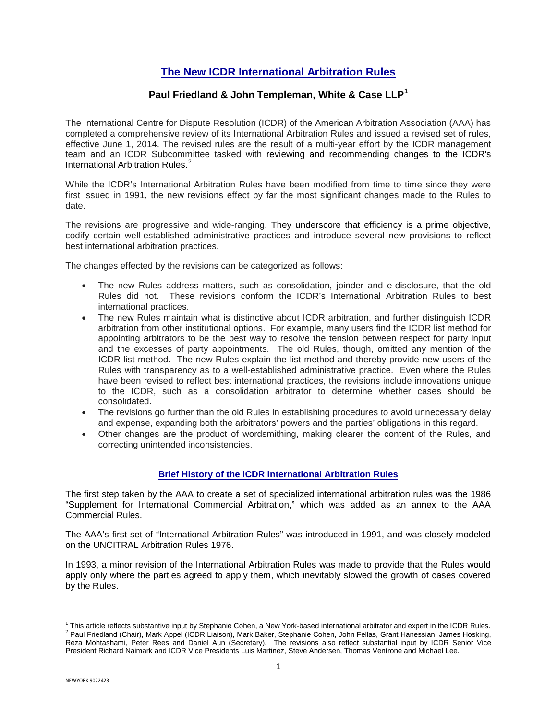# **The New ICDR International Arbitration Rules**

## **Paul Friedland & John Templeman, White & Case LLP[1](#page-0-0)**

The International Centre for Dispute Resolution (ICDR) of the American Arbitration Association (AAA) has completed a comprehensive review of its International Arbitration Rules and issued a revised set of rules, effective June 1, 2014. The revised rules are the result of a multi-year effort by the ICDR management team and an ICDR Subcommittee tasked with reviewing and recommending changes to the ICDR's International Arbitration Rules.<sup>[2](#page-0-1)</sup>

While the ICDR's International Arbitration Rules have been modified from time to time since they were first issued in 1991, the new revisions effect by far the most significant changes made to the Rules to date.

The revisions are progressive and wide-ranging. They underscore that efficiency is a prime objective, codify certain well-established administrative practices and introduce several new provisions to reflect best international arbitration practices.

The changes effected by the revisions can be categorized as follows:

- The new Rules address matters, such as consolidation, joinder and e-disclosure, that the old Rules did not. These revisions conform the ICDR's International Arbitration Rules to best international practices.
- The new Rules maintain what is distinctive about ICDR arbitration, and further distinguish ICDR arbitration from other institutional options. For example, many users find the ICDR list method for appointing arbitrators to be the best way to resolve the tension between respect for party input and the excesses of party appointments. The old Rules, though, omitted any mention of the ICDR list method. The new Rules explain the list method and thereby provide new users of the Rules with transparency as to a well-established administrative practice. Even where the Rules have been revised to reflect best international practices, the revisions include innovations unique to the ICDR, such as a consolidation arbitrator to determine whether cases should be consolidated.
- The revisions go further than the old Rules in establishing procedures to avoid unnecessary delay and expense, expanding both the arbitrators' powers and the parties' obligations in this regard.
- Other changes are the product of wordsmithing, making clearer the content of the Rules, and correcting unintended inconsistencies.

#### **Brief History of the ICDR International Arbitration Rules**

The first step taken by the AAA to create a set of specialized international arbitration rules was the 1986 "Supplement for International Commercial Arbitration," which was added as an annex to the AAA Commercial Rules.

The AAA's first set of "International Arbitration Rules" was introduced in 1991, and was closely modeled on the UNCITRAL Arbitration Rules 1976.

In 1993, a minor revision of the International Arbitration Rules was made to provide that the Rules would apply only where the parties agreed to apply them, which inevitably slowed the growth of cases covered by the Rules.

 $\overline{\phantom{a}}$ 

<span id="page-0-1"></span><span id="page-0-0"></span><sup>&</sup>lt;sup>1</sup> This article reflects substantive input by Stephanie Cohen, a New York-based international arbitrator and expert in the ICDR Rules.<br><sup>2</sup> Paul Friedland (Chair), Mark Appel (ICDR Liaison), Mark Baker, Stephanie Cohen, Jo Reza Mohtashami, Peter Rees and Daniel Aun (Secretary). The revisions also reflect substantial input by ICDR Senior Vice President Richard Naimark and ICDR Vice Presidents Luis Martinez, Steve Andersen, Thomas Ventrone and Michael Lee.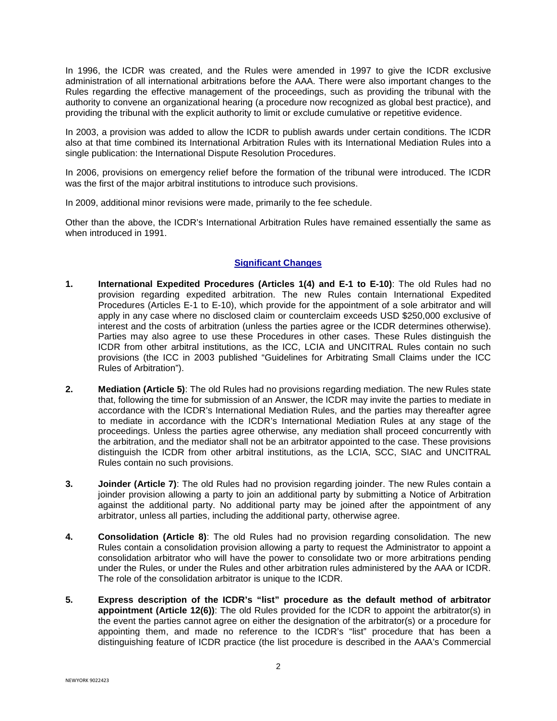In 1996, the ICDR was created, and the Rules were amended in 1997 to give the ICDR exclusive administration of all international arbitrations before the AAA. There were also important changes to the Rules regarding the effective management of the proceedings, such as providing the tribunal with the authority to convene an organizational hearing (a procedure now recognized as global best practice), and providing the tribunal with the explicit authority to limit or exclude cumulative or repetitive evidence.

In 2003, a provision was added to allow the ICDR to publish awards under certain conditions. The ICDR also at that time combined its International Arbitration Rules with its International Mediation Rules into a single publication: the International Dispute Resolution Procedures.

In 2006, provisions on emergency relief before the formation of the tribunal were introduced. The ICDR was the first of the major arbitral institutions to introduce such provisions.

In 2009, additional minor revisions were made, primarily to the fee schedule.

Other than the above, the ICDR's International Arbitration Rules have remained essentially the same as when introduced in 1991.

## **Significant Changes**

- **1. International Expedited Procedures (Articles 1(4) and E-1 to E-10)**: The old Rules had no provision regarding expedited arbitration. The new Rules contain International Expedited Procedures (Articles E-1 to E-10), which provide for the appointment of a sole arbitrator and will apply in any case where no disclosed claim or counterclaim exceeds USD \$250,000 exclusive of interest and the costs of arbitration (unless the parties agree or the ICDR determines otherwise). Parties may also agree to use these Procedures in other cases. These Rules distinguish the ICDR from other arbitral institutions, as the ICC, LCIA and UNCITRAL Rules contain no such provisions (the ICC in 2003 published "Guidelines for Arbitrating Small Claims under the ICC Rules of Arbitration").
- **2. Mediation (Article 5)**: The old Rules had no provisions regarding mediation. The new Rules state that, following the time for submission of an Answer, the ICDR may invite the parties to mediate in accordance with the ICDR's International Mediation Rules, and the parties may thereafter agree to mediate in accordance with the ICDR's International Mediation Rules at any stage of the proceedings. Unless the parties agree otherwise, any mediation shall proceed concurrently with the arbitration, and the mediator shall not be an arbitrator appointed to the case. These provisions distinguish the ICDR from other arbitral institutions, as the LCIA, SCC, SIAC and UNCITRAL Rules contain no such provisions.
- **3. Joinder (Article 7)**: The old Rules had no provision regarding joinder. The new Rules contain a joinder provision allowing a party to join an additional party by submitting a Notice of Arbitration against the additional party. No additional party may be joined after the appointment of any arbitrator, unless all parties, including the additional party, otherwise agree.
- **4. Consolidation (Article 8)**: The old Rules had no provision regarding consolidation. The new Rules contain a consolidation provision allowing a party to request the Administrator to appoint a consolidation arbitrator who will have the power to consolidate two or more arbitrations pending under the Rules, or under the Rules and other arbitration rules administered by the AAA or ICDR. The role of the consolidation arbitrator is unique to the ICDR.
- **5. Express description of the ICDR's "list" procedure as the default method of arbitrator appointment (Article 12(6))**: The old Rules provided for the ICDR to appoint the arbitrator(s) in the event the parties cannot agree on either the designation of the arbitrator(s) or a procedure for appointing them, and made no reference to the ICDR's "list" procedure that has been a distinguishing feature of ICDR practice (the list procedure is described in the AAA's Commercial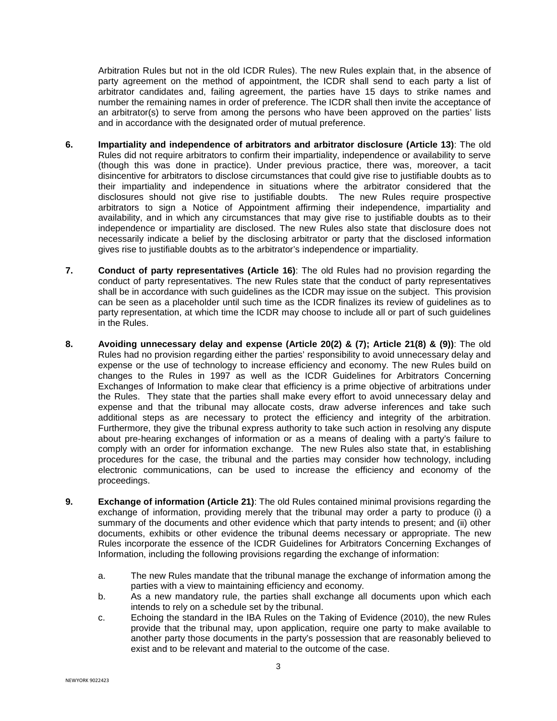Arbitration Rules but not in the old ICDR Rules). The new Rules explain that, in the absence of party agreement on the method of appointment, the ICDR shall send to each party a list of arbitrator candidates and, failing agreement, the parties have 15 days to strike names and number the remaining names in order of preference. The ICDR shall then invite the acceptance of an arbitrator(s) to serve from among the persons who have been approved on the parties' lists and in accordance with the designated order of mutual preference.

- **6. Impartiality and independence of arbitrators and arbitrator disclosure (Article 13)**: The old Rules did not require arbitrators to confirm their impartiality, independence or availability to serve (though this was done in practice). Under previous practice, there was, moreover, a tacit disincentive for arbitrators to disclose circumstances that could give rise to justifiable doubts as to their impartiality and independence in situations where the arbitrator considered that the disclosures should not give rise to justifiable doubts. The new Rules require prospective arbitrators to sign a Notice of Appointment affirming their independence, impartiality and availability, and in which any circumstances that may give rise to justifiable doubts as to their independence or impartiality are disclosed. The new Rules also state that disclosure does not necessarily indicate a belief by the disclosing arbitrator or party that the disclosed information gives rise to justifiable doubts as to the arbitrator's independence or impartiality.
- **7. Conduct of party representatives (Article 16)**: The old Rules had no provision regarding the conduct of party representatives. The new Rules state that the conduct of party representatives shall be in accordance with such guidelines as the ICDR may issue on the subject. This provision can be seen as a placeholder until such time as the ICDR finalizes its review of guidelines as to party representation, at which time the ICDR may choose to include all or part of such guidelines in the Rules.
- **8. Avoiding unnecessary delay and expense (Article 20(2) & (7); Article 21(8) & (9))**: The old Rules had no provision regarding either the parties' responsibility to avoid unnecessary delay and expense or the use of technology to increase efficiency and economy. The new Rules build on changes to the Rules in 1997 as well as the ICDR Guidelines for Arbitrators Concerning Exchanges of Information to make clear that efficiency is a prime objective of arbitrations under the Rules. They state that the parties shall make every effort to avoid unnecessary delay and expense and that the tribunal may allocate costs, draw adverse inferences and take such additional steps as are necessary to protect the efficiency and integrity of the arbitration. Furthermore, they give the tribunal express authority to take such action in resolving any dispute about pre-hearing exchanges of information or as a means of dealing with a party's failure to comply with an order for information exchange. The new Rules also state that, in establishing procedures for the case, the tribunal and the parties may consider how technology, including electronic communications, can be used to increase the efficiency and economy of the proceedings.
- **9. Exchange of information (Article 21)**: The old Rules contained minimal provisions regarding the exchange of information, providing merely that the tribunal may order a party to produce (i) a summary of the documents and other evidence which that party intends to present; and (ii) other documents, exhibits or other evidence the tribunal deems necessary or appropriate. The new Rules incorporate the essence of the ICDR Guidelines for Arbitrators Concerning Exchanges of Information, including the following provisions regarding the exchange of information:
	- a. The new Rules mandate that the tribunal manage the exchange of information among the parties with a view to maintaining efficiency and economy.
	- b. As a new mandatory rule, the parties shall exchange all documents upon which each intends to rely on a schedule set by the tribunal.
	- c. Echoing the standard in the IBA Rules on the Taking of Evidence (2010), the new Rules provide that the tribunal may, upon application, require one party to make available to another party those documents in the party's possession that are reasonably believed to exist and to be relevant and material to the outcome of the case.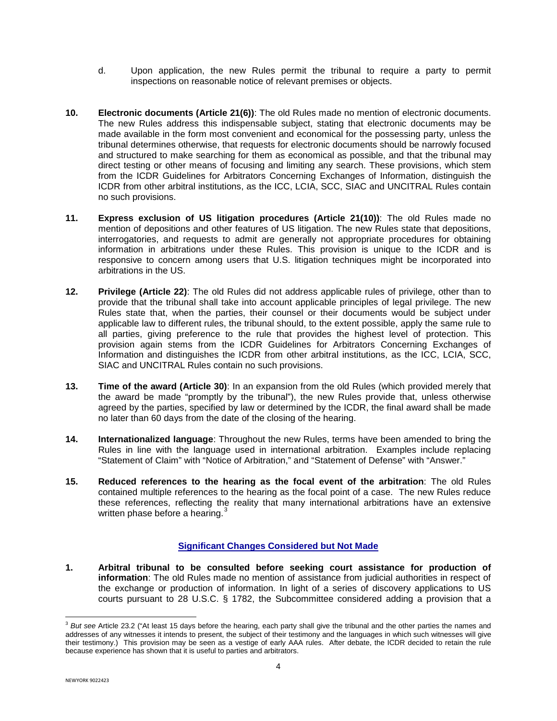- d. Upon application, the new Rules permit the tribunal to require a party to permit inspections on reasonable notice of relevant premises or objects.
- **10. Electronic documents (Article 21(6))**: The old Rules made no mention of electronic documents. The new Rules address this indispensable subject, stating that electronic documents may be made available in the form most convenient and economical for the possessing party, unless the tribunal determines otherwise, that requests for electronic documents should be narrowly focused and structured to make searching for them as economical as possible, and that the tribunal may direct testing or other means of focusing and limiting any search. These provisions, which stem from the ICDR Guidelines for Arbitrators Concerning Exchanges of Information, distinguish the ICDR from other arbitral institutions, as the ICC, LCIA, SCC, SIAC and UNCITRAL Rules contain no such provisions.
- **11. Express exclusion of US litigation procedures (Article 21(10))**: The old Rules made no mention of depositions and other features of US litigation. The new Rules state that depositions, interrogatories, and requests to admit are generally not appropriate procedures for obtaining information in arbitrations under these Rules. This provision is unique to the ICDR and is responsive to concern among users that U.S. litigation techniques might be incorporated into arbitrations in the US.
- **12. Privilege (Article 22)**: The old Rules did not address applicable rules of privilege, other than to provide that the tribunal shall take into account applicable principles of legal privilege. The new Rules state that, when the parties, their counsel or their documents would be subject under applicable law to different rules, the tribunal should, to the extent possible, apply the same rule to all parties, giving preference to the rule that provides the highest level of protection. This provision again stems from the ICDR Guidelines for Arbitrators Concerning Exchanges of Information and distinguishes the ICDR from other arbitral institutions, as the ICC, LCIA, SCC, SIAC and UNCITRAL Rules contain no such provisions.
- **13. Time of the award (Article 30)**: In an expansion from the old Rules (which provided merely that the award be made "promptly by the tribunal"), the new Rules provide that, unless otherwise agreed by the parties, specified by law or determined by the ICDR, the final award shall be made no later than 60 days from the date of the closing of the hearing.
- **14. Internationalized language**: Throughout the new Rules, terms have been amended to bring the Rules in line with the language used in international arbitration. Examples include replacing "Statement of Claim" with "Notice of Arbitration," and "Statement of Defense" with "Answer."
- **15. Reduced references to the hearing as the focal event of the arbitration**: The old Rules contained multiple references to the hearing as the focal point of a case. The new Rules reduce these references, reflecting the reality that many international arbitrations have an extensive written phase before a hearing. $3$

## **Significant Changes Considered but Not Made**

**1. Arbitral tribunal to be consulted before seeking court assistance for production of information**: The old Rules made no mention of assistance from judicial authorities in respect of the exchange or production of information. In light of a series of discovery applications to US courts pursuant to 28 U.S.C. § 1782, the Subcommittee considered adding a provision that a

 $\overline{\phantom{a}}$ 

<span id="page-3-0"></span><sup>3</sup> *But see* Article 23.2 ("At least 15 days before the hearing, each party shall give the tribunal and the other parties the names and addresses of any witnesses it intends to present, the subject of their testimony and the languages in which such witnesses will give their testimony.) This provision may be seen as a vestige of early AAA rules. After debate, the ICDR decided to retain the rule because experience has shown that it is useful to parties and arbitrators.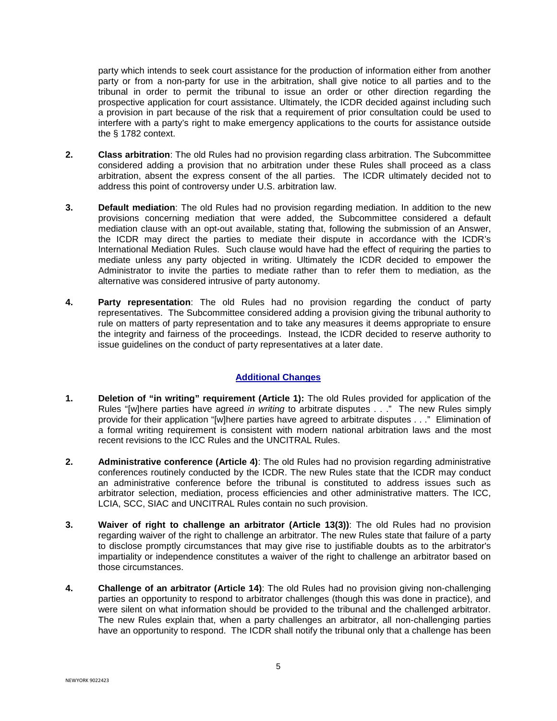party which intends to seek court assistance for the production of information either from another party or from a non-party for use in the arbitration, shall give notice to all parties and to the tribunal in order to permit the tribunal to issue an order or other direction regarding the prospective application for court assistance. Ultimately, the ICDR decided against including such a provision in part because of the risk that a requirement of prior consultation could be used to interfere with a party's right to make emergency applications to the courts for assistance outside the § 1782 context.

- **2. Class arbitration**: The old Rules had no provision regarding class arbitration. The Subcommittee considered adding a provision that no arbitration under these Rules shall proceed as a class arbitration, absent the express consent of the all parties. The ICDR ultimately decided not to address this point of controversy under U.S. arbitration law.
- **3. Default mediation**: The old Rules had no provision regarding mediation. In addition to the new provisions concerning mediation that were added, the Subcommittee considered a default mediation clause with an opt-out available, stating that, following the submission of an Answer, the ICDR may direct the parties to mediate their dispute in accordance with the ICDR's International Mediation Rules. Such clause would have had the effect of requiring the parties to mediate unless any party objected in writing. Ultimately the ICDR decided to empower the Administrator to invite the parties to mediate rather than to refer them to mediation, as the alternative was considered intrusive of party autonomy.
- **4. Party representation**: The old Rules had no provision regarding the conduct of party representatives. The Subcommittee considered adding a provision giving the tribunal authority to rule on matters of party representation and to take any measures it deems appropriate to ensure the integrity and fairness of the proceedings. Instead, the ICDR decided to reserve authority to issue guidelines on the conduct of party representatives at a later date.

#### **Additional Changes**

- **1. Deletion of "in writing" requirement (Article 1):** The old Rules provided for application of the Rules "[w]here parties have agreed *in writing* to arbitrate disputes . . ." The new Rules simply provide for their application "[w]here parties have agreed to arbitrate disputes . . ." Elimination of a formal writing requirement is consistent with modern national arbitration laws and the most recent revisions to the ICC Rules and the UNCITRAL Rules.
- **2. Administrative conference (Article 4)**: The old Rules had no provision regarding administrative conferences routinely conducted by the ICDR. The new Rules state that the ICDR may conduct an administrative conference before the tribunal is constituted to address issues such as arbitrator selection, mediation, process efficiencies and other administrative matters. The ICC, LCIA, SCC, SIAC and UNCITRAL Rules contain no such provision.
- **3. Waiver of right to challenge an arbitrator (Article 13(3))**: The old Rules had no provision regarding waiver of the right to challenge an arbitrator. The new Rules state that failure of a party to disclose promptly circumstances that may give rise to justifiable doubts as to the arbitrator's impartiality or independence constitutes a waiver of the right to challenge an arbitrator based on those circumstances.
- **4. Challenge of an arbitrator (Article 14)**: The old Rules had no provision giving non-challenging parties an opportunity to respond to arbitrator challenges (though this was done in practice), and were silent on what information should be provided to the tribunal and the challenged arbitrator. The new Rules explain that, when a party challenges an arbitrator, all non-challenging parties have an opportunity to respond. The ICDR shall notify the tribunal only that a challenge has been